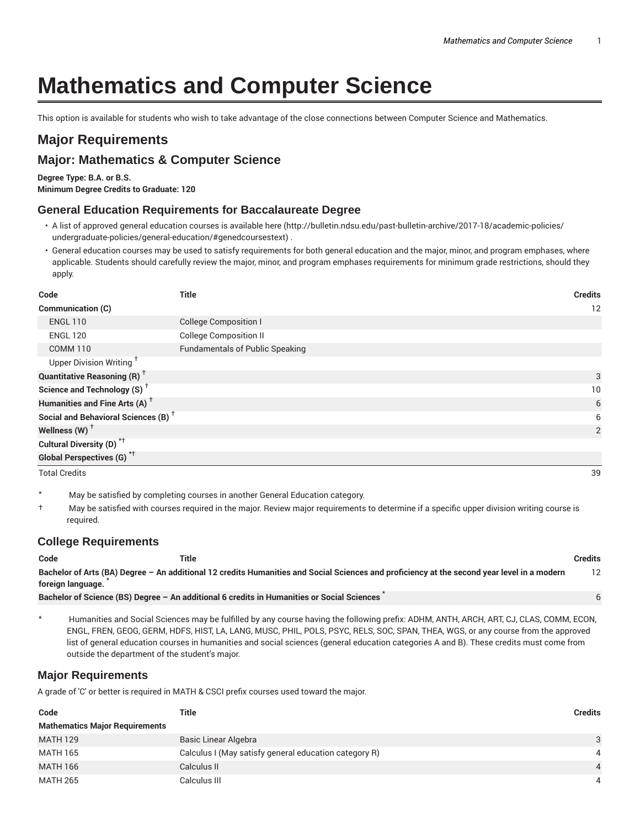# **Mathematics and Computer Science**

This option is available for students who wish to take advantage of the close connections between Computer Science and Mathematics.

## **Major Requirements**

### **Major: Mathematics & Computer Science**

**Degree Type: B.A. or B.S.**

**Minimum Degree Credits to Graduate: 120**

#### **General Education Requirements for Baccalaureate Degree**

- A list of approved general education courses is available here (http://bulletin.ndsu.edu/past-bulletin-archive/2017-18/academic-policies/ undergraduate-policies/general-education/#genedcoursestext) .
- General education courses may be used to satisfy requirements for both general education and the major, minor, and program emphases, where applicable. Students should carefully review the major, minor, and program emphases requirements for minimum grade restrictions, should they apply.

| Code                                            | <b>Title</b>                           | <b>Credits</b> |                |
|-------------------------------------------------|----------------------------------------|----------------|----------------|
| Communication (C)                               |                                        |                | 12             |
| <b>ENGL 110</b>                                 | <b>College Composition I</b>           |                |                |
| <b>ENGL 120</b>                                 | <b>College Composition II</b>          |                |                |
| <b>COMM 110</b>                                 | <b>Fundamentals of Public Speaking</b> |                |                |
| Upper Division Writing <sup>+</sup>             |                                        |                |                |
| <b>Quantitative Reasoning (R)</b> <sup>†</sup>  |                                        |                | 3              |
| Science and Technology (S) <sup>+</sup>         |                                        |                | 10             |
| Humanities and Fine Arts (A) <sup>+</sup>       |                                        |                | 6              |
| Social and Behavioral Sciences (B) <sup>+</sup> |                                        |                | 6              |
| Wellness (W) $^{\dagger}$                       |                                        |                | $\overline{2}$ |
| Cultural Diversity (D) <sup>*†</sup>            |                                        |                |                |
| <b>Global Perspectives (G)</b> <sup>*†</sup>    |                                        |                |                |
| <b>Total Credits</b>                            |                                        |                | 39             |

\* May be satisfied by completing courses in another General Education category.

† May be satisfied with courses required in the major. Review major requirements to determine if a specific upper division writing course is required.

#### **College Requirements**

| Code              | Title                                                                                                                                       | Credits |
|-------------------|---------------------------------------------------------------------------------------------------------------------------------------------|---------|
| foreign language. | Bachelor of Arts (BA) Degree - An additional 12 credits Humanities and Social Sciences and proficiency at the second year level in a modern |         |
|                   | Bachelor of Science (BS) Degree - An additional 6 credits in Humanities or Social Sciences                                                  |         |

\* Humanities and Social Sciences may be fulfilled by any course having the following prefix: ADHM, ANTH, ARCH, ART, CJ, CLAS, COMM, ECON, ENGL, FREN, GEOG, GERM, HDFS, HIST, LA, LANG, MUSC, PHIL, POLS, PSYC, RELS, SOC, SPAN, THEA, WGS, or any course from the approved list of general education courses in humanities and social sciences (general education categories A and B). These credits must come from outside the department of the student's major.

#### **Major Requirements**

A grade of 'C' or better is required in MATH & CSCI prefix courses used toward the major.

| Code                                  | Title                                                 | <b>Credits</b> |
|---------------------------------------|-------------------------------------------------------|----------------|
| <b>Mathematics Major Requirements</b> |                                                       |                |
| <b>MATH 129</b>                       | Basic Linear Algebra                                  | 3              |
| MATH 165                              | Calculus I (May satisfy general education category R) | 4              |
| <b>MATH 166</b>                       | Calculus II                                           | 4              |
| MATH 265                              | Calculus III                                          | 4              |